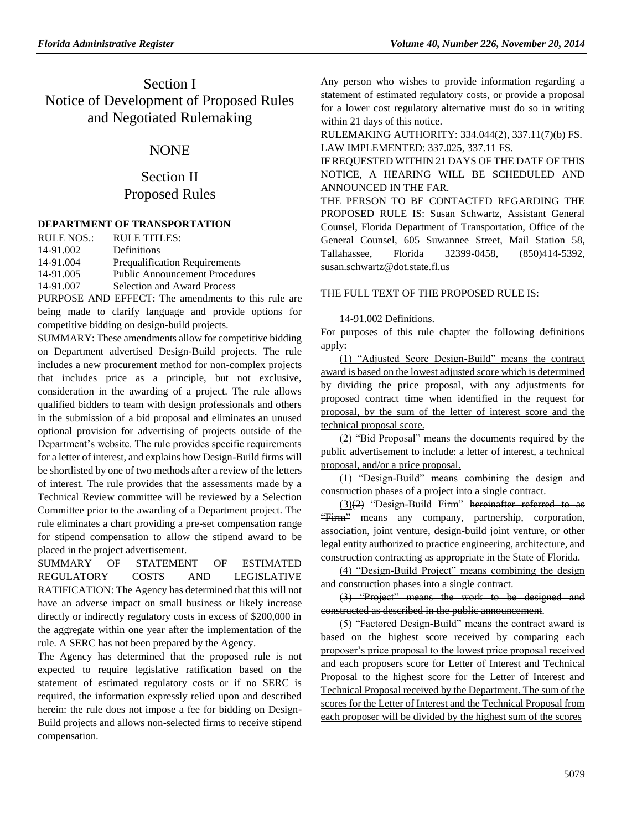# Section I Notice of Development of Proposed Rules and Negotiated Rulemaking

## NONE

# Section II Proposed Rules

### **[DEPARTMENT OF TRANSPORTATION](https://www.flrules.org/gateway/department.asp?id=14)**

| RULE NOS.: | RULE TITLES:                                                     |
|------------|------------------------------------------------------------------|
| 14-91.002  | Definitions                                                      |
| 14-91.004  | <b>Prequalification Requirements</b>                             |
| 14-91.005  | <b>Public Announcement Procedures</b>                            |
| 14-91.007  | <b>Selection and Award Process</b>                               |
|            | $\overline{\text{DI}}$ IDDOCE, AND EEEECT. The emendments to the |

PURPOSE AND EFFECT: The amendments to this rule are being made to clarify language and provide options for competitive bidding on design-build projects.

SUMMARY: These amendments allow for competitive bidding on Department advertised Design-Build projects. The rule includes a new procurement method for non-complex projects that includes price as a principle, but not exclusive, consideration in the awarding of a project. The rule allows qualified bidders to team with design professionals and others in the submission of a bid proposal and eliminates an unused optional provision for advertising of projects outside of the Department's website. The rule provides specific requirements for a letter of interest, and explains how Design-Build firms will be shortlisted by one of two methods after a review of the letters of interest. The rule provides that the assessments made by a Technical Review committee will be reviewed by a Selection Committee prior to the awarding of a Department project. The rule eliminates a chart providing a pre-set compensation range for stipend compensation to allow the stipend award to be placed in the project advertisement.

SUMMARY OF STATEMENT OF ESTIMATED REGULATORY COSTS AND LEGISLATIVE RATIFICATION: The Agency has determined that this will not have an adverse impact on small business or likely increase directly or indirectly regulatory costs in excess of \$200,000 in the aggregate within one year after the implementation of the rule. A SERC has not been prepared by the Agency.

The Agency has determined that the proposed rule is not expected to require legislative ratification based on the statement of estimated regulatory costs or if no SERC is required, the information expressly relied upon and described herein: the rule does not impose a fee for bidding on Design-Build projects and allows non-selected firms to receive stipend compensation.

Any person who wishes to provide information regarding a statement of estimated regulatory costs, or provide a proposal for a lower cost regulatory alternative must do so in writing within 21 days of this notice.

RULEMAKING AUTHORITY: [334.044\(2\),](https://www.flrules.org/gateway/statute.asp?id=334.044(2)) [337.11\(7\)\(b\) FS.](https://www.flrules.org/gateway/statute.asp?id=%20337.11(7)(b)) LAW IMPLEMENTED: [337.025,](https://www.flrules.org/gateway/statute.asp?id=337.025) [337.11 FS.](https://www.flrules.org/gateway/statute.asp?id=%20337.11)

IF REQUESTED WITHIN 21 DAYS OF THE DATE OF THIS NOTICE, A HEARING WILL BE SCHEDULED AND ANNOUNCED IN THE FAR.

THE PERSON TO BE CONTACTED REGARDING THE PROPOSED RULE IS: Susan Schwartz, Assistant General Counsel, Florida Department of Transportation, Office of the General Counsel, 605 Suwannee Street, Mail Station 58, Tallahassee, Florida 32399-0458, (850)414-5392, susan.schwartz@dot.state.fl.us

### THE FULL TEXT OF THE PROPOSED RULE IS:

### 14-91.002 Definitions.

For purposes of this rule chapter the following definitions apply:

(1) "Adjusted Score Design-Build" means the contract award is based on the lowest adjusted score which is determined by dividing the price proposal, with any adjustments for proposed contract time when identified in the request for proposal, by the sum of the letter of interest score and the technical proposal score.

(2) "Bid Proposal" means the documents required by the public advertisement to include: a letter of interest, a technical proposal, and/or a price proposal.

(1) "Design-Build" means combining the design and construction phases of a project into a single contract.

 $(3)(2)$  "Design-Build Firm" hereinafter referred to as "Firm" means any company, partnership, corporation, association, joint venture, design-build joint venture, or other legal entity authorized to practice engineering, architecture, and construction contracting as appropriate in the State of Florida.

(4) "Design-Build Project" means combining the design and construction phases into a single contract.

(3) "Project" means the work to be designed and constructed as described in the public announcement.

(5) "Factored Design-Build" means the contract award is based on the highest score received by comparing each proposer's price proposal to the lowest price proposal received and each proposers score for Letter of Interest and Technical Proposal to the highest score for the Letter of Interest and Technical Proposal received by the Department. The sum of the scores for the Letter of Interest and the Technical Proposal from each proposer will be divided by the highest sum of the scores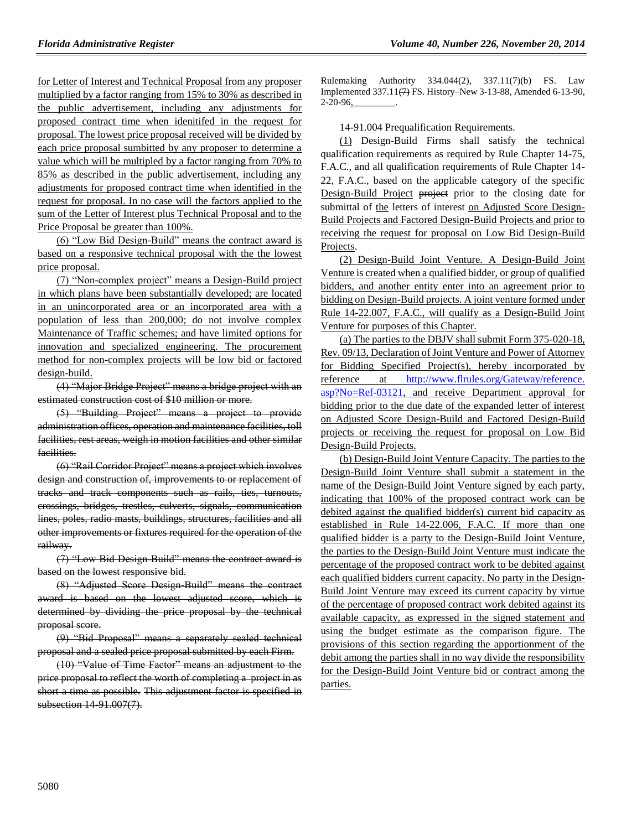for Letter of Interest and Technical Proposal from any proposer multiplied by a factor ranging from 15% to 30% as described in the public advertisement, including any adjustments for proposed contract time when idenitifed in the request for proposal. The lowest price proposal received will be divided by each price proposal sumbitted by any proposer to determine a value which will be multipled by a factor ranging from 70% to 85% as described in the public advertisement, including any adjustments for proposed contract time when identified in the request for proposal. In no case will the factors applied to the sum of the Letter of Interest plus Technical Proposal and to the Price Proposal be greater than 100%.

(6) "Low Bid Design-Build" means the contract award is based on a responsive technical proposal with the the lowest price proposal.

(7) "Non-complex project" means a Design-Build project in which plans have been substantially developed; are located in an unincorporated area or an incorporated area with a population of less than 200,000; do not involve complex Maintenance of Traffic schemes; and have limited options for innovation and specialized engineering. The procurement method for non-complex projects will be low bid or factored design-build.

(4) "Major Bridge Project" means a bridge project with an estimated construction cost of \$10 million or more.

(5) "Building Project" means a project to provide administration offices, operation and maintenance facilities, toll facilities, rest areas, weigh in motion facilities and other similar facilities.

(6) "Rail Corridor Project" means a project which involves design and construction of, improvements to or replacement of tracks and track components such as rails, ties, turnouts, crossings, bridges, trestles, culverts, signals, communication lines, poles, radio masts, buildings, structures, facilities and all other improvements or fixtures required for the operation of the railway.

(7) "Low Bid Design-Build" means the contract award is based on the lowest responsive bid.

(8) "Adjusted Score Design-Build" means the contract award is based on the lowest adjusted score, which is determined by dividing the price proposal by the technical proposal score.

(9) "Bid Proposal" means a separately sealed technical proposal and a sealed price proposal submitted by each Firm.

(10) "Value of Time Factor" means an adjustment to the price proposal to reflect the worth of completing a project in as short a time as possible. This adjustment factor is specified in subsection 14-91.007(7).

Rulemaking Authority 334.044(2), 337.11(7)(b) FS. Law Implemented 337.11(7) FS. History–New 3-13-88, Amended 6-13-90, 2-20-96,

14-91.004 Prequalification Requirements.

(1) Design-Build Firms shall satisfy the technical qualification requirements as required by Rule Chapter 14-75, F.A.C., and all qualification requirements of Rule Chapter 14- 22, F.A.C., based on the applicable category of the specific Design-Build Project project prior to the closing date for submittal of the letters of interest on Adjusted Score Design-Build Projects and Factored Design-Build Projects and prior to receiving the request for proposal on Low Bid Design-Build Projects.

(2) Design-Build Joint Venture. A Design-Build Joint Venture is created when a qualified bidder, or group of qualified bidders, and another entity enter into an agreement prior to bidding on Design-Build projects. A joint venture formed under Rule 14-22.007, F.A.C., will qualify as a Design-Build Joint Venture for purposes of this Chapter.

(a) The parties to the DBJV shall submit Form 375-020-18, Rev. 09/13, Declaration of Joint Venture and Power of Attorney for Bidding Specified Project(s), hereby incorporated by reference at [http://www.flrules.org/Gateway/reference.](http://www.flrules.org/Gateway/reference.%20asp?No=Ref-03121)  [asp?No=Ref-03121,](http://www.flrules.org/Gateway/reference.%20asp?No=Ref-03121) and receive Department approval for bidding prior to the due date of the expanded letter of interest on Adjusted Score Design-Build and Factored Design-Build projects or receiving the request for proposal on Low Bid Design-Build Projects.

(b) Design-Build Joint Venture Capacity. The parties to the Design-Build Joint Venture shall submit a statement in the name of the Design-Build Joint Venture signed by each party, indicating that 100% of the proposed contract work can be debited against the qualified bidder(s) current bid capacity as established in Rule 14-22.006, F.A.C. If more than one qualified bidder is a party to the Design-Build Joint Venture, the parties to the Design-Build Joint Venture must indicate the percentage of the proposed contract work to be debited against each qualified bidders current capacity. No party in the Design-Build Joint Venture may exceed its current capacity by virtue of the percentage of proposed contract work debited against its available capacity, as expressed in the signed statement and using the budget estimate as the comparison figure. The provisions of this section regarding the apportionment of the debit among the parties shall in no way divide the responsibility for the Design-Build Joint Venture bid or contract among the parties.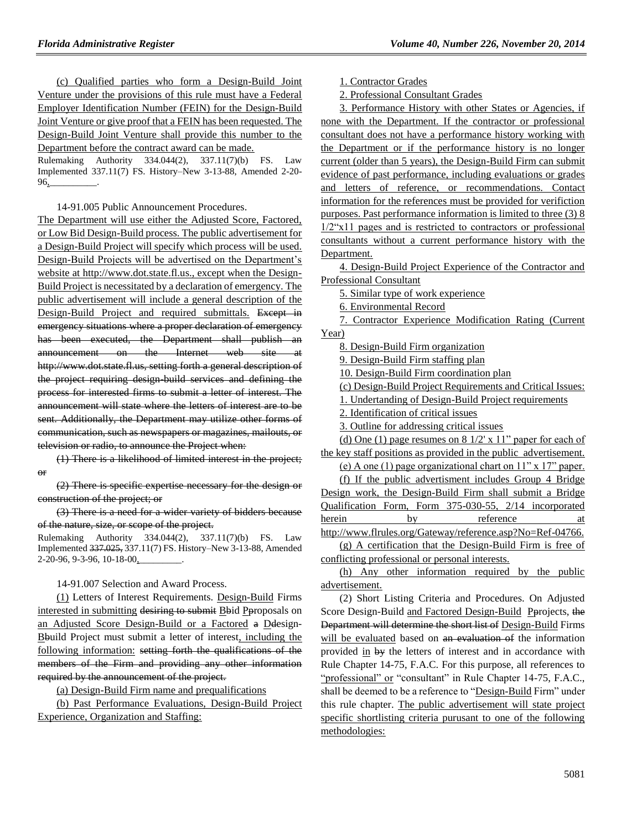(c) Qualified parties who form a Design-Build Joint Venture under the provisions of this rule must have a Federal Employer Identification Number (FEIN) for the Design-Build Joint Venture or give proof that a FEIN has been requested. The Design-Build Joint Venture shall provide this number to the Department before the contract award can be made.

Rulemaking Authority 334.044(2), 337.11(7)(b) FS. Law Implemented 337.11(7) FS. History–New 3-13-88, Amended 2-20- 96,\_\_\_\_\_\_\_\_\_\_.

14-91.005 Public Announcement Procedures.

The Department will use either the Adjusted Score, Factored, or Low Bid Design-Build process. The public advertisement for a Design-Build Project will specify which process will be used. Design-Build Projects will be advertised on the Department's website at http://www.dot.state.fl.us., except when the Design-Build Project is necessitated by a declaration of emergency. The public advertisement will include a general description of the Design-Build Project and required submittals. Except in emergency situations where a proper declaration of emergency has been executed, the Department shall publish an announcement on the Internet web site http://www.dot.state.fl.us, setting forth a general description of the project requiring design-build services and defining the process for interested firms to submit a letter of interest. The announcement will state where the letters of interest are to be sent. Additionally, the Department may utilize other forms of communication, such as newspapers or magazines, mailouts, or television or radio, to announce the Project when:

(1) There is a likelihood of limited interest in the project; or

(2) There is specific expertise necessary for the design or construction of the project; or

(3) There is a need for a wider variety of bidders because of the nature, size, or scope of the project.

Rulemaking Authority 334.044(2), 337.11(7)(b) FS. Law Implemented 337.025, 337.11(7) FS. History–New 3-13-88, Amended 2-20-96, 9-3-96, 10-18-00,

14-91.007 Selection and Award Process.

(1) Letters of Interest Requirements. Design-Build Firms interested in submitting desiring to submit Bbid Pproposals on an Adjusted Score Design-Build or a Factored a Ddesign-Bbuild Project must submit a letter of interest, including the following information: setting forth the qualifications of the members of the Firm and providing any other information required by the announcement of the project.

(a) Design-Build Firm name and prequalifications

(b) Past Performance Evaluations, Design-Build Project Experience, Organization and Staffing:

1. Contractor Grades

2. Professional Consultant Grades

3. Performance History with other States or Agencies, if none with the Department. If the contractor or professional consultant does not have a performance history working with the Department or if the performance history is no longer current (older than 5 years), the Design-Build Firm can submit evidence of past performance, including evaluations or grades and letters of reference, or recommendations. Contact information for the references must be provided for verifiction purposes. Past performance information is limited to three (3) 8 1/2"x11 pages and is restricted to contractors or professional consultants without a current performance history with the Department.

4. Design-Build Project Experience of the Contractor and Professional Consultant

5. Similar type of work experience

6. Environmental Record

7. Contractor Experience Modification Rating (Current Year)

8. Design-Build Firm organization

9. Design-Build Firm staffing plan

10. Design-Build Firm coordination plan

(c) Design-Build Project Requirements and Critical Issues:

1. Undertanding of Design-Build Project requirements

2. Identification of critical issues

3. Outline for addressing critical issues

(d) One (1) page resumes on  $8\frac{1}{2}$  x  $11$ " paper for each of the key staff positions as provided in the public advertisement.

(e) A one (1) page organizational chart on 11" x 17" paper.

(f) If the public advertisment includes Group 4 Bridge Design work, the Design-Build Firm shall submit a Bridge Qualification Form, Form 375-030-55, 2/14 incorporated

herein by reference at

[http://www.flrules.org/Gateway/reference.asp?No=Ref-04766.](http://www.flrules.org/Gateway/reference.asp?No=Ref-04766) (g) A certification that the Design-Build Firm is free of conflicting professional or personal interests.

(h) Any other information required by the public advertisement.

(2) Short Listing Criteria and Procedures. On Adjusted Score Design-Build and Factored Design-Build Pprojects, the Department will determine the short list of Design-Build Firms will be evaluated based on an evaluation of the information provided in by the letters of interest and in accordance with Rule Chapter 14-75, F.A.C. For this purpose, all references to "professional" or "consultant" in Rule Chapter 14-75, F.A.C., shall be deemed to be a reference to "Design-Build Firm" under this rule chapter. The public advertisement will state project specific shortlisting criteria purusant to one of the following methodologies: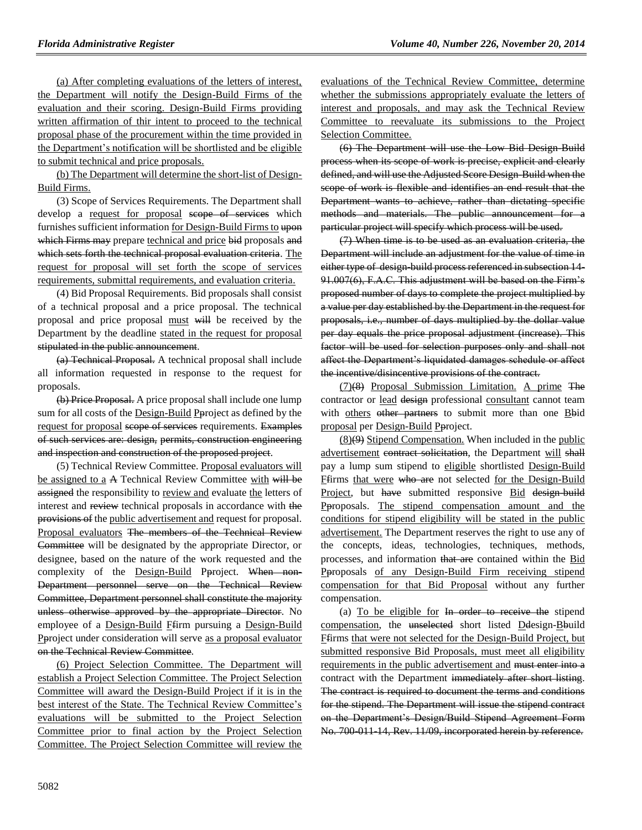(a) After completing evaluations of the letters of interest, the Department will notify the Design-Build Firms of the evaluation and their scoring. Design-Build Firms providing written affirmation of thir intent to proceed to the technical proposal phase of the procurement within the time provided in the Department's notification will be shortlisted and be eligible to submit technical and price proposals.

(b) The Department will determine the short-list of Design-Build Firms.

(3) Scope of Services Requirements. The Department shall develop a request for proposal scope of services which furnishes sufficient information for Design-Build Firms to upon which Firms may prepare technical and price bid proposals and which sets forth the technical proposal evaluation criteria. The request for proposal will set forth the scope of services requirements, submittal requirements, and evaluation criteria.

(4) Bid Proposal Requirements. Bid proposals shall consist of a technical proposal and a price proposal. The technical proposal and price proposal must will be received by the Department by the deadline stated in the request for proposal stipulated in the public announcement.

(a) Technical Proposal. A technical proposal shall include all information requested in response to the request for proposals.

(b) Price Proposal. A price proposal shall include one lump sum for all costs of the Design-Build Pproject as defined by the request for proposal scope of services requirements. Examples of such services are: design, permits, construction engineering and inspection and construction of the proposed project.

(5) Technical Review Committee. Proposal evaluators will be assigned to a A Technical Review Committee with will be assigned the responsibility to review and evaluate the letters of interest and review technical proposals in accordance with the provisions of the public advertisement and request for proposal. Proposal evaluators The members of the Technical Review Committee will be designated by the appropriate Director, or designee, based on the nature of the work requested and the complexity of the Design-Build Pproject. When non-Department personnel serve on the Technical Review Committee, Department personnel shall constitute the majority unless otherwise approved by the appropriate Director. No employee of a Design-Build Ffirm pursuing a Design-Build Pproject under consideration will serve as a proposal evaluator on the Technical Review Committee.

(6) Project Selection Committee. The Department will establish a Project Selection Committee. The Project Selection Committee will award the Design-Build Project if it is in the best interest of the State. The Technical Review Committee's evaluations will be submitted to the Project Selection Committee prior to final action by the Project Selection Committee. The Project Selection Committee will review the evaluations of the Technical Review Committee, determine whether the submissions appropriately evaluate the letters of interest and proposals, and may ask the Technical Review Committee to reevaluate its submissions to the Project Selection Committee.

(6) The Department will use the Low Bid Design-Build process when its scope of work is precise, explicit and clearly defined, and will use the Adjusted Score Design-Build when the scope of work is flexible and identifies an end result that the Department wants to achieve, rather than dictating specific methods and materials. The public announcement for a particular project will specify which process will be used.

(7) When time is to be used as an evaluation criteria, the Department will include an adjustment for the value of time in either type of design-build process referenced in subsection 14- 91.007(6), F.A.C. This adjustment will be based on the Firm's proposed number of days to complete the project multiplied by a value per day established by the Department in the request for proposals, i.e., number of days multiplied by the dollar value per day equals the price proposal adjustment (increase). This factor will be used for selection purposes only and shall not affect the Department's liquidated damages schedule or affect the incentive/disincentive provisions of the contract.

(7)(8) Proposal Submission Limitation. A prime The contractor or lead design professional consultant cannot team with others other partners to submit more than one  $B$ bid proposal per Design-Build Pproject.

 $(8)(9)$  Stipend Compensation. When included in the public advertisement contract solicitation, the Department will shall pay a lump sum stipend to eligible shortlisted Design-Build Ffirms that were who are not selected for the Design-Build Project, but have submitted responsive Bid design-build Pproposals. The stipend compensation amount and the conditions for stipend eligibility will be stated in the public advertisement. The Department reserves the right to use any of the concepts, ideas, technologies, techniques, methods, processes, and information that are contained within the Bid Pproposals of any Design-Build Firm receiving stipend compensation for that Bid Proposal without any further compensation.

(a) To be eligible for In order to receive the stipend compensation, the unselected short listed Ddesign-Bbuild Ffirms that were not selected for the Design-Build Project, but submitted responsive Bid Proposals, must meet all eligibility requirements in the public advertisement and must enter into a contract with the Department immediately after short listing. The contract is required to document the terms and conditions for the stipend. The Department will issue the stipend contract on the Department's Design/Build Stipend Agreement Form No. 700-011-14, Rev. 11/09, incorporated herein by reference.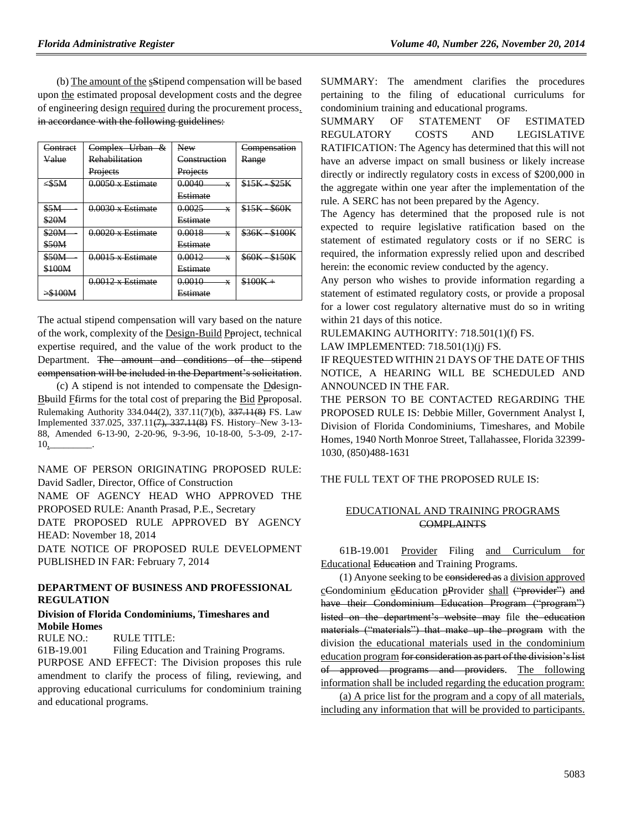(b) The amount of the sStipend compensation will be based upon the estimated proposal development costs and the degree of engineering design required during the procurement process. in accordance with the following guidelines:

| Contract    | Complex Urban &          | New                    | Compensation          |
|-------------|--------------------------|------------------------|-----------------------|
| Value       | <b>Rehabilitation</b>    | Construction           | Range                 |
|             | Projects                 | Projects               |                       |
| $\leq$ \$5M | $0.0050 \times$ Estimate | 0.0040<br>X            | $$15K - $25K$         |
|             |                          | Estimate               |                       |
| \$5M        | $0.0030 \times$ Estimate | 0.0025<br>$\mathbf{x}$ | \$15K<br><b>\$60K</b> |
| \$20M       |                          | Estimate               |                       |
| \$20M       | $0.0020 \times$ Estimate | 0.0018<br>x            | \$36K \$100K          |
| \$50M       |                          | Estimate               |                       |
| \$50M       | $0.0015 \times$ Estimate | 0.0012<br>$\mathbf{x}$ | \$60K<br>\$150K       |
| \$100M      |                          | Estimate               |                       |
|             | $0.0012 \times$ Estimate | 0.0010<br>X            | $$100K +$             |
| >\$100M     |                          | <b>Estimate</b>        |                       |

The actual stipend compensation will vary based on the nature of the work, complexity of the Design-Build Pproject, technical expertise required, and the value of the work product to the Department. The amount and conditions of the stipend compensation will be included in the Department's solicitation.

(c) A stipend is not intended to compensate the Ddesign-Bbuild Ffirms for the total cost of preparing the Bid Pproposal. Rulemaking Authority 334.044(2), 337.11(7)(b), 337.11(8) FS. Law Implemented 337.025, 337.11(7), 337.11(8) FS. History–New 3-13- 88, Amended 6-13-90, 2-20-96, 9-3-96, 10-18-00, 5-3-09, 2-17-  $10$ ,

NAME OF PERSON ORIGINATING PROPOSED RULE: David Sadler, Director, Office of Construction

NAME OF AGENCY HEAD WHO APPROVED THE PROPOSED RULE: Ananth Prasad, P.E., Secretary

DATE PROPOSED RULE APPROVED BY AGENCY HEAD: November 18, 2014

DATE NOTICE OF PROPOSED RULE DEVELOPMENT PUBLISHED IN FAR: February 7, 2014

### **[DEPARTMENT OF BUSINESS AND PROFESSIONAL](https://www.flrules.org/gateway/department.asp?id=61)  [REGULATION](https://www.flrules.org/gateway/department.asp?id=61)**

#### **[Division of Florida Condominiums, Timeshares and](https://www.flrules.org/gateway/organization.asp?id=248)  [Mobile Homes](https://www.flrules.org/gateway/organization.asp?id=248)**

RULE NO.: RULE TITLE:

[61B-19.001](https://www.flrules.org/gateway/ruleNo.asp?id=61B-19.001) Filing Education and Training Programs. PURPOSE AND EFFECT: The Division proposes this rule amendment to clarify the process of filing, reviewing, and approving educational curriculums for condominium training and educational programs.

SUMMARY: The amendment clarifies the procedures pertaining to the filing of educational curriculums for condominium training and educational programs.

SUMMARY OF STATEMENT OF ESTIMATED REGULATORY COSTS AND LEGISLATIVE RATIFICATION: The Agency has determined that this will not have an adverse impact on small business or likely increase directly or indirectly regulatory costs in excess of \$200,000 in the aggregate within one year after the implementation of the rule. A SERC has not been prepared by the Agency.

The Agency has determined that the proposed rule is not expected to require legislative ratification based on the statement of estimated regulatory costs or if no SERC is required, the information expressly relied upon and described herein: the economic review conducted by the agency.

Any person who wishes to provide information regarding a statement of estimated regulatory costs, or provide a proposal for a lower cost regulatory alternative must do so in writing within 21 days of this notice.

RULEMAKING AUTHORITY: [718.501\(1\)\(f\)](https://www.flrules.org/gateway/statute.asp?id=718.501(1)(f)) FS.

LAW IMPLEMENTED: [718.501\(1\)\(j\)](https://www.flrules.org/gateway/statute.asp?id=718.501(1)(j)) FS.

IF REQUESTED WITHIN 21 DAYS OF THE DATE OF THIS NOTICE, A HEARING WILL BE SCHEDULED AND ANNOUNCED IN THE FAR.

THE PERSON TO BE CONTACTED REGARDING THE PROPOSED RULE IS: Debbie Miller, Government Analyst I, Division of Florida Condominiums, Timeshares, and Mobile Homes, 1940 North Monroe Street, Tallahassee, Florida 32399- 1030, (850)488-1631

THE FULL TEXT OF THE PROPOSED RULE IS:

### EDUCATIONAL AND TRAINING PROGRAMS **COMPLAINTS**

61B-19.001 Provider Filing and Curriculum for Educational Education and Training Programs.

(1) Anyone seeking to be considered as a division approved cCondominium eEducation pProvider shall ("provider") and have their Condominium Education Program ("program") listed on the department's website may file the education materials ("materials") that make up the program with the division the educational materials used in the condominium education program for consideration as part of the division's list of approved programs and providers. The following information shall be included regarding the education program:

(a) A price list for the program and a copy of all materials, including any information that will be provided to participants.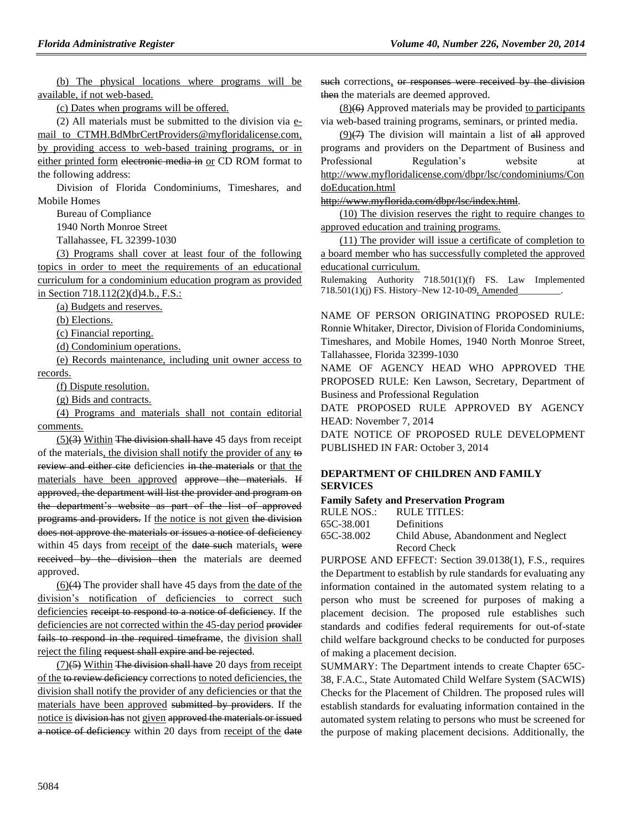(b) The physical locations where programs will be available, if not web-based.

(c) Dates when programs will be offered.

(2) All materials must be submitted to the division via email to [CTMH.BdMbrCertProviders@myfloridalicense.com,](mailto:CTMH.BdMbrCertProviders@myfloridalicense.com) by providing access to web-based training programs, or in either printed form electronic media in or CD ROM format to the following address:

Division of Florida Condominiums, Timeshares, and Mobile Homes

Bureau of Compliance

1940 North Monroe Street

Tallahassee, FL 32399-1030

(3) Programs shall cover at least four of the following topics in order to meet the requirements of an educational curriculum for a condominium education program as provided in Section 718.112(2)(d)4.b., F.S.:

(a) Budgets and reserves.

(b) Elections.

(c) Financial reporting.

(d) Condominium operations.

(e) Records maintenance, including unit owner access to records.

(f) Dispute resolution.

(g) Bids and contracts.

(4) Programs and materials shall not contain editorial comments.

 $(5)(3)$  Within The division shall have 45 days from receipt of the materials, the division shall notify the provider of any to review and either cite deficiencies in the materials or that the materials have been approved approve the materials. If approved, the department will list the provider and program on the department's website as part of the list of approved programs and providers. If the notice is not given the division does not approve the materials or issues a notice of deficiency within 45 days from receipt of the date such materials, were received by the division then the materials are deemed approved.

 $(6)(4)$  The provider shall have 45 days from the date of the division's notification of deficiencies to correct such deficiencies receipt to respond to a notice of deficiency. If the deficiencies are not corrected within the 45-day period provider fails to respond in the required timeframe, the division shall reject the filing request shall expire and be rejected.

 $(7)(5)$  Within The division shall have 20 days from receipt of the to review deficiency corrections to noted deficiencies, the division shall notify the provider of any deficiencies or that the materials have been approved submitted by providers. If the notice is division has not given approved the materials or issued a notice of deficiency within 20 days from receipt of the date such corrections, or responses were received by the division then the materials are deemed approved.

 $(8)(6)$  Approved materials may be provided to participants via web-based training programs, seminars, or printed media.

 $(9)(7)$  The division will maintain a list of  $\frac{d}{dt}$  approved programs and providers on the Department of Business and Professional Regulation's website at [http://www.myfloridalicense.com/dbpr/lsc/condominiums/Con](http://www.myfloridalicense.com/dbpr/lsc/condominiums/CondoEducation.html) [doEducation.html](http://www.myfloridalicense.com/dbpr/lsc/condominiums/CondoEducation.html)

[http://www.myflorida.com/dbpr/lsc/index.html.](http://www.myflorida.com/dbpr/lsc/index.html)

(10) The division reserves the right to require changes to approved education and training programs.

(11) The provider will issue a certificate of completion to a board member who has successfully completed the approved educational curriculum.

Rulemaking Authority 718.501(1)(f) FS. Law Implemented 718.501(1)(j) FS. History-New 12-10-09, Amended

NAME OF PERSON ORIGINATING PROPOSED RULE: Ronnie Whitaker, Director, Division of Florida Condominiums, Timeshares, and Mobile Homes, 1940 North Monroe Street, Tallahassee, Florida 32399-1030

NAME OF AGENCY HEAD WHO APPROVED THE PROPOSED RULE: Ken Lawson, Secretary, Department of Business and Professional Regulation

DATE PROPOSED RULE APPROVED BY AGENCY HEAD: November 7, 2014

DATE NOTICE OF PROPOSED RULE DEVELOPMENT PUBLISHED IN FAR: October 3, 2014

### **[DEPARTMENT OF CHILDREN AND FAMILY](https://www.flrules.org/gateway/department.asp?id=65)  [SERVICES](https://www.flrules.org/gateway/department.asp?id=65)**

### **[Family Safety and Preservation Program](https://www.flrules.org/gateway/organization.asp?id=342)**

| RULE NOS.: | RULE TITLES:                         |
|------------|--------------------------------------|
| 65C-38.001 | <b>Definitions</b>                   |
| 65C-38.002 | Child Abuse, Abandonment and Neglect |
|            | Record Check                         |

PURPOSE AND EFFECT: Section 39.0138(1), F.S., requires the Department to establish by rule standards for evaluating any information contained in the automated system relating to a person who must be screened for purposes of making a placement decision. The proposed rule establishes such standards and codifies federal requirements for out-of-state child welfare background checks to be conducted for purposes of making a placement decision.

SUMMARY: The Department intends to create Chapter 65C-38, F.A.C., State Automated Child Welfare System (SACWIS) Checks for the Placement of Children. The proposed rules will establish standards for evaluating information contained in the automated system relating to persons who must be screened for the purpose of making placement decisions. Additionally, the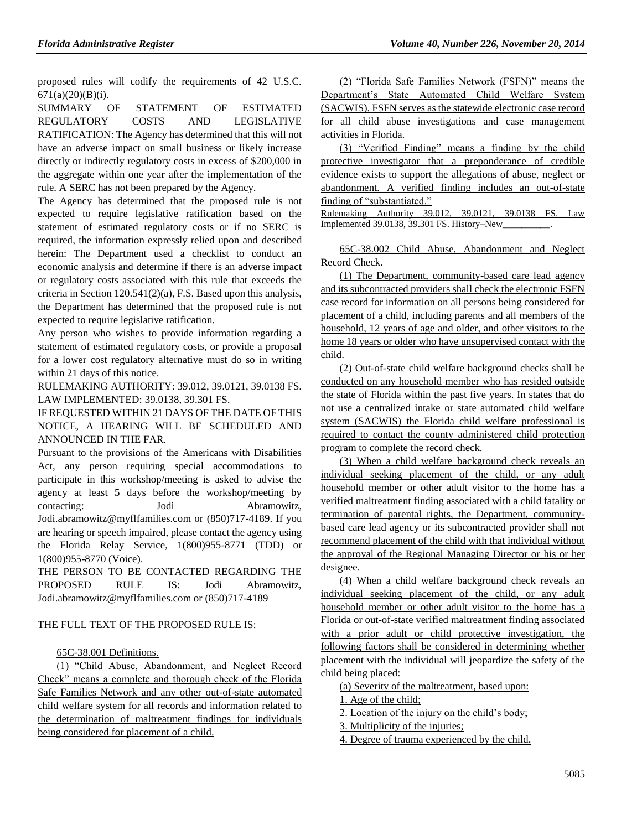proposed rules will codify the requirements of 42 U.S.C. 671(a)(20)(B)(i).

SUMMARY OF STATEMENT OF ESTIMATED REGULATORY COSTS AND LEGISLATIVE RATIFICATION: The Agency has determined that this will not have an adverse impact on small business or likely increase directly or indirectly regulatory costs in excess of \$200,000 in the aggregate within one year after the implementation of the rule. A SERC has not been prepared by the Agency.

The Agency has determined that the proposed rule is not expected to require legislative ratification based on the statement of estimated regulatory costs or if no SERC is required, the information expressly relied upon and described herein: The Department used a checklist to conduct an economic analysis and determine if there is an adverse impact or regulatory costs associated with this rule that exceeds the criteria in Section 120.541(2)(a), F.S. Based upon this analysis, the Department has determined that the proposed rule is not expected to require legislative ratification.

Any person who wishes to provide information regarding a statement of estimated regulatory costs, or provide a proposal for a lower cost regulatory alternative must do so in writing within 21 days of this notice.

RULEMAKING AUTHORITY: [39.012,](https://www.flrules.org/gateway/statute.asp?id=39.012) [39.0121,](https://www.flrules.org/gateway/statute.asp?id=%2039.0121) [39.0138 FS.](https://www.flrules.org/gateway/statute.asp?id=%2039.0138) LAW IMPLEMENTED: [39.0138,](https://www.flrules.org/gateway/statute.asp?id=39.0138) [39.301 FS.](https://www.flrules.org/gateway/statute.asp?id=%2039.301)

IF REQUESTED WITHIN 21 DAYS OF THE DATE OF THIS NOTICE, A HEARING WILL BE SCHEDULED AND ANNOUNCED IN THE FAR.

Pursuant to the provisions of the Americans with Disabilities Act, any person requiring special accommodations to participate in this workshop/meeting is asked to advise the agency at least 5 days before the workshop/meeting by contacting: Jodi Abramowitz, Jodi.abramowitz@myflfamilies.com or (850)717-4189. If you are hearing or speech impaired, please contact the agency using the Florida Relay Service, 1(800)955-8771 (TDD) or 1(800)955-8770 (Voice).

THE PERSON TO BE CONTACTED REGARDING THE PROPOSED RULE IS: Jodi Abramowitz, Jodi.abramowitz@myflfamilies.com or (850)717-4189

### THE FULL TEXT OF THE PROPOSED RULE IS:

### 65C-38.001 Definitions.

(1) "Child Abuse, Abandonment, and Neglect Record Check" means a complete and thorough check of the Florida Safe Families Network and any other out-of-state automated child welfare system for all records and information related to the determination of maltreatment findings for individuals being considered for placement of a child.

(2) "Florida Safe Families Network (FSFN)" means the Department's State Automated Child Welfare System (SACWIS). FSFN serves as the statewide electronic case record for all child abuse investigations and case management activities in Florida.

(3) "Verified Finding" means a finding by the child protective investigator that a preponderance of credible evidence exists to support the allegations of abuse, neglect or abandonment. A verified finding includes an out-of-state finding of "substantiated."

Rulemaking Authority 39.012, 39.0121, 39.0138 FS. Law Implemented  $39.0138$ ,  $39.301$  FS. History–New

65C-38.002 Child Abuse, Abandonment and Neglect Record Check.

(1) The Department, community-based care lead agency and its subcontracted providers shall check the electronic FSFN case record for information on all persons being considered for placement of a child, including parents and all members of the household, 12 years of age and older, and other visitors to the home 18 years or older who have unsupervised contact with the child.

(2) Out-of-state child welfare background checks shall be conducted on any household member who has resided outside the state of Florida within the past five years. In states that do not use a centralized intake or state automated child welfare system (SACWIS) the Florida child welfare professional is required to contact the county administered child protection program to complete the record check.

(3) When a child welfare background check reveals an individual seeking placement of the child, or any adult household member or other adult visitor to the home has a verified maltreatment finding associated with a child fatality or termination of parental rights, the Department, communitybased care lead agency or its subcontracted provider shall not recommend placement of the child with that individual without the approval of the Regional Managing Director or his or her designee.

(4) When a child welfare background check reveals an individual seeking placement of the child, or any adult household member or other adult visitor to the home has a Florida or out-of-state verified maltreatment finding associated with a prior adult or child protective investigation, the following factors shall be considered in determining whether placement with the individual will jeopardize the safety of the child being placed:

(a) Severity of the maltreatment, based upon:

1. Age of the child;

2. Location of the injury on the child's body;

3. Multiplicity of the injuries;

4. Degree of trauma experienced by the child.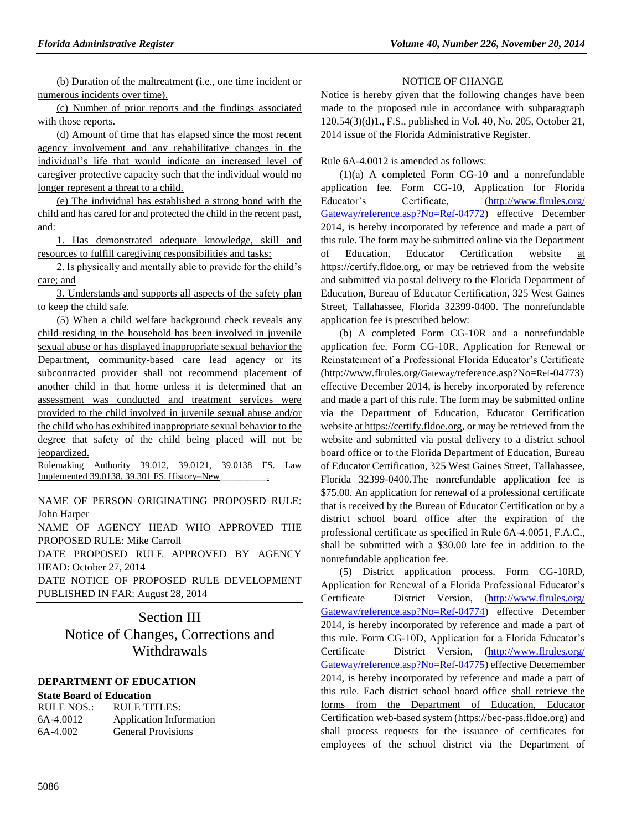(b) Duration of the maltreatment (i.e., one time incident or numerous incidents over time).

(c) Number of prior reports and the findings associated with those reports.

(d) Amount of time that has elapsed since the most recent agency involvement and any rehabilitative changes in the individual's life that would indicate an increased level of caregiver protective capacity such that the individual would no longer represent a threat to a child.

(e) The individual has established a strong bond with the child and has cared for and protected the child in the recent past, and:

1. Has demonstrated adequate knowledge, skill and resources to fulfill caregiving responsibilities and tasks;

2. Is physically and mentally able to provide for the child's care; and

3. Understands and supports all aspects of the safety plan to keep the child safe.

(5) When a child welfare background check reveals any child residing in the household has been involved in juvenile sexual abuse or has displayed inappropriate sexual behavior the Department, community-based care lead agency or its subcontracted provider shall not recommend placement of another child in that home unless it is determined that an assessment was conducted and treatment services were provided to the child involved in juvenile sexual abuse and/or the child who has exhibited inappropriate sexual behavior to the degree that safety of the child being placed will not be jeopardized.

Rulemaking Authority 39.012, 39.0121, 39.0138 FS. Law Implemented 39.0138, 39.301 FS. History–New\_\_\_\_\_\_\_\_\_\_.

NAME OF PERSON ORIGINATING PROPOSED RULE: John Harper

NAME OF AGENCY HEAD WHO APPROVED THE PROPOSED RULE: Mike Carroll

DATE PROPOSED RULE APPROVED BY AGENCY HEAD: October 27, 2014

DATE NOTICE OF PROPOSED RULE DEVELOPMENT PUBLISHED IN FAR: August 28, 2014

> Section III Notice of Changes, Corrections and Withdrawals

### **[DEPARTMENT OF EDUCATION](https://www.flrules.org/gateway/department.asp?id=6)**

### **[State Board of Education](https://www.flrules.org/gateway/organization.asp?id=195)**

| RULE NOS.: | RULE TITLES:                   |
|------------|--------------------------------|
| 6A-4.0012  | <b>Application Information</b> |
| 6A-4.002   | <b>General Provisions</b>      |

### NOTICE OF CHANGE

Notice is hereby given that the following changes have been made to the proposed rule in accordance with subparagraph 120.54(3)(d)1., F.S., published in Vol. 40, No. 205, October 21, 2014 issue of the Florida Administrative Register.

Rule 6A-4.0012 is amended as follows:

(1)(a) A completed Form CG-10 and a nonrefundable application fee. Form CG-10, Application for Florida Educator's Certificate, [\(http://www.flrules.org/](http://www.flrules.org/%20Gateway/reference.asp?No=Ref-04772)  [Gateway/reference.asp?No=Ref-04772\)](http://www.flrules.org/%20Gateway/reference.asp?No=Ref-04772) effective December 2014, is hereby incorporated by reference and made a part of this rule. The form may be submitted online via the Department of Education, Educator Certification website at https://certify.fldoe.org, or may be retrieved from the website and submitted via postal delivery to the Florida Department of Education, Bureau of Educator Certification, 325 West Gaines Street, Tallahassee, Florida 32399-0400. The nonrefundable application fee is prescribed below:

(b) A completed Form CG-10R and a nonrefundable application fee. Form CG-10R, Application for Renewal or Reinstatement of a Professional Florida Educator's Certificate [\(http://www.flrules.org/](http://www.flrules.org/Gateway/reference.asp?No=Ref-04773)Gateway/reference.asp?No=Ref-04773) effective December 2014, is hereby incorporated by reference and made a part of this rule. The form may be submitted online via the Department of Education, Educator Certification website at https://certify.fldoe.org, or may be retrieved from the website and submitted via postal delivery to a district school board office or to the Florida Department of Education, Bureau of Educator Certification, 325 West Gaines Street, Tallahassee, Florida 32399-0400.The nonrefundable application fee is \$75.00. An application for renewal of a professional certificate that is received by the Bureau of Educator Certification or by a district school board office after the expiration of the professional certificate as specified in Rule 6A-4.0051, F.A.C., shall be submitted with a \$30.00 late fee in addition to the nonrefundable application fee.

(5) District application process. Form CG-10RD, Application for Renewal of a Florida Professional Educator's Certificate – District Version, [\(http://www.flrules.org/](http://www.flrules.org/%20Gateway/reference.asp?No=Ref-04774)  [Gateway/reference.asp?No=Ref-04774\)](http://www.flrules.org/%20Gateway/reference.asp?No=Ref-04774) effective December 2014, is hereby incorporated by reference and made a part of this rule. Form CG-10D, Application for a Florida Educator's Certificate – District Version, [\(http://www.flrules.org/](http://www.flrules.org/%20Gateway/reference.asp?No=Ref-04775)  [Gateway/reference.asp?No=Ref-04775\)](http://www.flrules.org/%20Gateway/reference.asp?No=Ref-04775) effective Decemember 2014, is hereby incorporated by reference and made a part of this rule. Each district school board office shall retrieve the forms from the Department of Education, Educator Certification web-based system [\(https://bec-pass.fldoe.org\)](https://bec-pass.fldoe.org/) and shall process requests for the issuance of certificates for employees of the school district via the Department of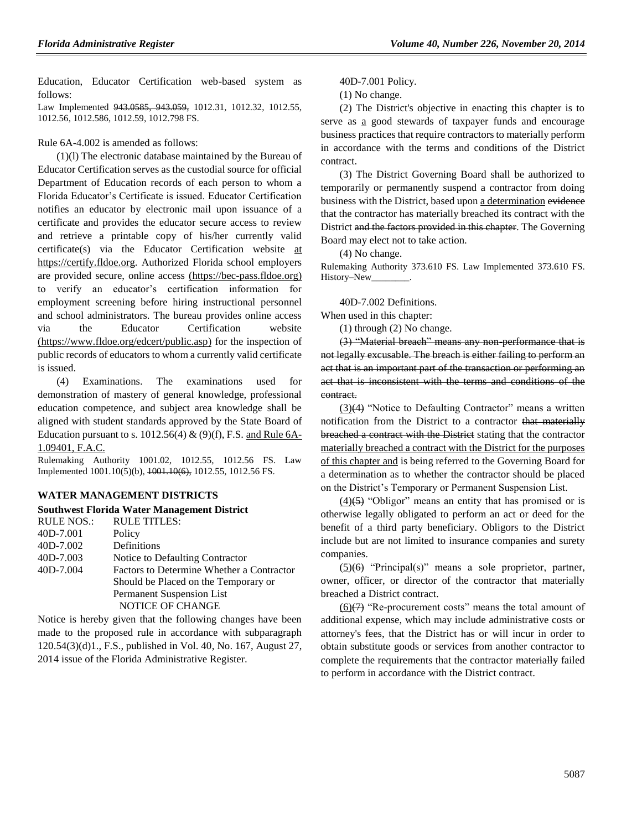Education, Educator Certification web-based system as follows:

Law Implemented 943.0585, 943.059, 1012.31, 1012.32, 1012.55, 1012.56, 1012.586, 1012.59, 1012.798 FS.

Rule 6A-4.002 is amended as follows:

(1)(l) The electronic database maintained by the Bureau of Educator Certification serves as the custodial source for official Department of Education records of each person to whom a Florida Educator's Certificate is issued. Educator Certification notifies an educator by electronic mail upon issuance of a certificate and provides the educator secure access to review and retrieve a printable copy of his/her currently valid certificate(s) via the Educator Certification website at [https://certify.fldoe.org.](https://certify.fldoe.org/) Authorized Florida school employers are provided secure, online access [\(https://bec-pass.fldoe.org\)](https://bec-pass.fldoe.org/) to verify an educator's certification information for employment screening before hiring instructional personnel and school administrators. The bureau provides online access via the Educator Certification website [\(https://www.fldoe.org/edcert/public.asp\)](https://www.fldoe.org/edcert/public.asp) for the inspection of public records of educators to whom a currently valid certificate is issued.

(4) Examinations. The examinations used for demonstration of mastery of general knowledge, professional education competence, and subject area knowledge shall be aligned with student standards approved by the State Board of Education pursuant to s. 1012.56(4)  $\&$  (9)(f), F.S. and Rule 6A-1.09401, F.A.C.

Rulemaking Authority 1001.02, 1012.55, 1012.56 FS. Law Implemented 1001.10(5)(b), 1001.10(6), 1012.55, 1012.56 FS.

### **[WATER MANAGEMENT DISTRICTS](https://www.flrules.org/gateway/department.asp?id=40)**

### **[Southwest Florida Water Management District](https://www.flrules.org/gateway/organization.asp?id=123)**

| <b>RULE TITLES:</b>                       |
|-------------------------------------------|
| Policy                                    |
| Definitions                               |
| Notice to Defaulting Contractor           |
| Factors to Determine Whether a Contractor |
| Should be Placed on the Temporary or      |
| Permanent Suspension List                 |
| <b>NOTICE OF CHANGE</b>                   |
|                                           |

Notice is hereby given that the following changes have been made to the proposed rule in accordance with subparagraph 120.54(3)(d)1., F.S., published in Vol. 40, No. 167, August 27, 2014 issue of the Florida Administrative Register.

40D-7.001 Policy.

(1) No change.

(2) The District's objective in enacting this chapter is to serve as a good stewards of taxpayer funds and encourage business practices that require contractors to materially perform in accordance with the terms and conditions of the District contract.

(3) The District Governing Board shall be authorized to temporarily or permanently suspend a contractor from doing business with the District, based upon a determination evidence that the contractor has materially breached its contract with the District and the factors provided in this chapter. The Governing Board may elect not to take action.

(4) No change.

Rulemaking Authority 373.610 FS. Law Implemented 373.610 FS. History-New\_

40D-7.002 Definitions.

When used in this chapter:

(1) through (2) No change.

(3) "Material breach" means any non-performance that is not legally excusable. The breach is either failing to perform an act that is an important part of the transaction or performing an act that is inconsistent with the terms and conditions of the contract.

(3)(4) "Notice to Defaulting Contractor" means a written notification from the District to a contractor that materially breached a contract with the District stating that the contractor materially breached a contract with the District for the purposes of this chapter and is being referred to the Governing Board for a determination as to whether the contractor should be placed on the District's Temporary or Permanent Suspension List.

 $(4)$ (5) "Obligor" means an entity that has promised or is otherwise legally obligated to perform an act or deed for the benefit of a third party beneficiary. Obligors to the District include but are not limited to insurance companies and surety companies.

 $(5)(6)$  "Principal(s)" means a sole proprietor, partner, owner, officer, or director of the contractor that materially breached a District contract.

 $(6)$ (7) "Re-procurement costs" means the total amount of additional expense, which may include administrative costs or attorney's fees, that the District has or will incur in order to obtain substitute goods or services from another contractor to complete the requirements that the contractor materially failed to perform in accordance with the District contract.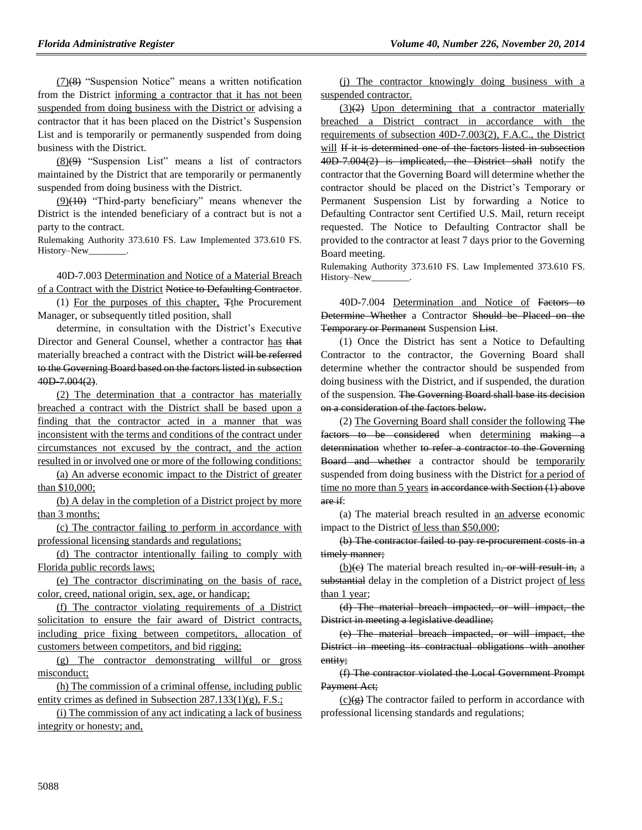(7)(8) "Suspension Notice" means a written notification from the District informing a contractor that it has not been suspended from doing business with the District or advising a contractor that it has been placed on the District's Suspension List and is temporarily or permanently suspended from doing business with the District.

 $(8)(9)$  "Suspension List" means a list of contractors maintained by the District that are temporarily or permanently suspended from doing business with the District.

(9)(10) "Third-party beneficiary" means whenever the District is the intended beneficiary of a contract but is not a party to the contract.

Rulemaking Authority 373.610 FS. Law Implemented 373.610 FS. History–New\_

40D-7.003 Determination and Notice of a Material Breach of a Contract with the District Notice to Defaulting Contractor.

(1) For the purposes of this chapter,  $F$ the Procurement Manager, or subsequently titled position, shall

determine, in consultation with the District's Executive Director and General Counsel, whether a contractor has that materially breached a contract with the District will be referred to the Governing Board based on the factors listed in subsection 40D-7.004(2).

(2) The determination that a contractor has materially breached a contract with the District shall be based upon a finding that the contractor acted in a manner that was inconsistent with the terms and conditions of the contract under circumstances not excused by the contract, and the action resulted in or involved one or more of the following conditions:

(a) An adverse economic impact to the District of greater than \$10,000;

(b) A delay in the completion of a District project by more than 3 months;

(c) The contractor failing to perform in accordance with professional licensing standards and regulations;

(d) The contractor intentionally failing to comply with Florida public records laws;

(e) The contractor discriminating on the basis of race, color, creed, national origin, sex, age, or handicap;

(f) The contractor violating requirements of a District solicitation to ensure the fair award of District contracts, including price fixing between competitors, allocation of customers between competitors, and bid rigging;

(g) The contractor demonstrating willful or gross misconduct;

(h) The commission of a criminal offense, including public entity crimes as defined in Subsection 287.133(1)(g), F.S.;

(i) The commission of any act indicating a lack of business integrity or honesty; and,

(j) The contractor knowingly doing business with a suspended contractor.

 $(3)(2)$  Upon determining that a contractor materially breached a District contract in accordance with the requirements of subsection 40D-7.003(2), F.A.C., the District will If it is determined one of the factors listed in subsection 40D-7.004(2) is implicated, the District shall notify the contractor that the Governing Board will determine whether the contractor should be placed on the District's Temporary or Permanent Suspension List by forwarding a Notice to Defaulting Contractor sent Certified U.S. Mail, return receipt requested. The Notice to Defaulting Contractor shall be provided to the contractor at least 7 days prior to the Governing Board meeting.

Rulemaking Authority 373.610 FS. Law Implemented 373.610 FS. History-New\_

40D-7.004 Determination and Notice of Factors to Determine Whether a Contractor Should be Placed on the Temporary or Permanent Suspension List.

(1) Once the District has sent a Notice to Defaulting Contractor to the contractor, the Governing Board shall determine whether the contractor should be suspended from doing business with the District, and if suspended, the duration of the suspension. The Governing Board shall base its decision on a consideration of the factors below.

(2) The Governing Board shall consider the following The factors to be considered when determining making a determination whether to refer a contractor to the Governing Board and whether a contractor should be temporarily suspended from doing business with the District for a period of time no more than 5 years in accordance with Section (1) above are if:

(a) The material breach resulted in an adverse economic impact to the District of less than \$50,000;

(b) The contractor failed to pay re-procurement costs in a timely manner;

 $(b)(e)$  The material breach resulted in, or will result in, a substantial delay in the completion of a District project of less than 1 year;

(d) The material breach impacted, or will impact, the District in meeting a legislative deadline:

(e) The material breach impacted, or will impact, the District in meeting its contractual obligations with another entity;

(f) The contractor violated the Local Government Prompt Payment Act;

 $(c)(g)$  The contractor failed to perform in accordance with professional licensing standards and regulations;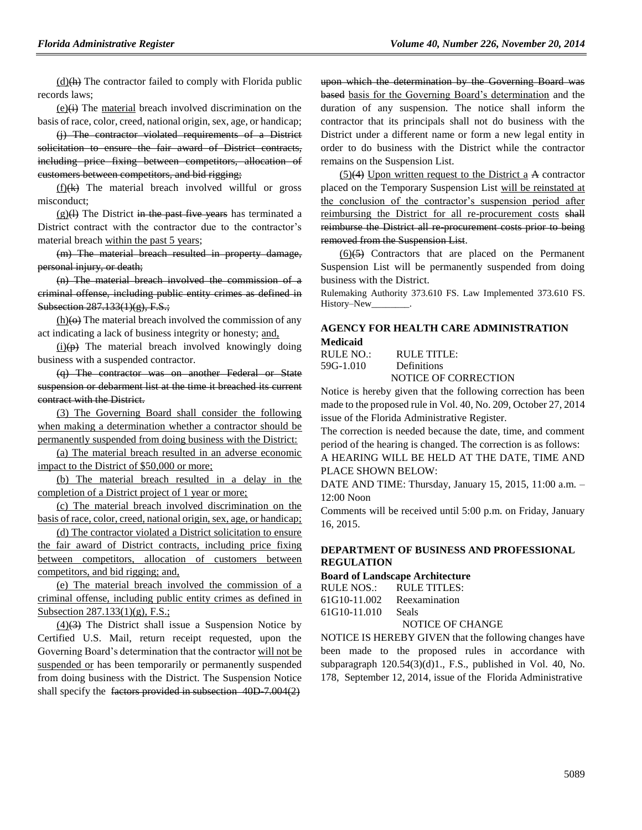$(d)$ (h) The contractor failed to comply with Florida public records laws;

 $(e)$  $\leftrightarrow$  The material breach involved discrimination on the basis of race, color, creed, national origin, sex, age, or handicap;

(j) The contractor violated requirements of a District solicitation to ensure the fair award of District contracts, including price fixing between competitors, allocation of customers between competitors, and bid rigging;

 $(f)(k)$  The material breach involved willful or gross misconduct;

 $(g)(1)$  The District in the past five years has terminated a District contract with the contractor due to the contractor's material breach within the past 5 years;

(m) The material breach resulted in property damage, personal injury, or death;

(n) The material breach involved the commission of a criminal offense, including public entity crimes as defined in Subsection 287.133(1)(g), F.S.;

 $(h)(\theta)$  The material breach involved the commission of any act indicating a lack of business integrity or honesty; and,

 $(i)(p)$  The material breach involved knowingly doing business with a suspended contractor.

(q) The contractor was on another Federal or State suspension or debarment list at the time it breached its current contract with the District.

(3) The Governing Board shall consider the following when making a determination whether a contractor should be permanently suspended from doing business with the District:

(a) The material breach resulted in an adverse economic impact to the District of \$50,000 or more;

(b) The material breach resulted in a delay in the completion of a District project of 1 year or more;

(c) The material breach involved discrimination on the basis of race, color, creed, national origin, sex, age, or handicap;

(d) The contractor violated a District solicitation to ensure the fair award of District contracts, including price fixing between competitors, allocation of customers between competitors, and bid rigging; and,

(e) The material breach involved the commission of a criminal offense, including public entity crimes as defined in Subsection 287.133(1)(g), F.S.;

 $(4)(3)$  The District shall issue a Suspension Notice by Certified U.S. Mail, return receipt requested, upon the Governing Board's determination that the contractor will not be suspended or has been temporarily or permanently suspended from doing business with the District. The Suspension Notice shall specify the factors provided in subsection 40D 7.004(2)

upon which the determination by the Governing Board was based basis for the Governing Board's determination and the duration of any suspension. The notice shall inform the contractor that its principals shall not do business with the District under a different name or form a new legal entity in order to do business with the District while the contractor remains on the Suspension List.

(5)(4) Upon written request to the District a A contractor placed on the Temporary Suspension List will be reinstated at the conclusion of the contractor's suspension period after reimbursing the District for all re-procurement costs shall reimburse the District all re-procurement costs prior to being removed from the Suspension List.

 $(6)(5)$  Contractors that are placed on the Permanent Suspension List will be permanently suspended from doing business with the District.

Rulemaking Authority 373.610 FS. Law Implemented 373.610 FS. History-New\_

# **[AGENCY FOR HEALTH CARE ADMINISTRATION](https://www.flrules.org/gateway/department.asp?id=59)**

**[Medicaid](https://www.flrules.org/gateway/organization.asp?id=192)** RULE NO.: RULE TITLE:

[59G-1.010](https://www.flrules.org/gateway/ruleNo.asp?id=59G-1.010) Definitions

NOTICE OF CORRECTION

Notice is hereby given that the following correction has been made to the proposed rule in Vol. 40, No. 209, October 27, 2014 issue of the Florida Administrative Register.

The correction is needed because the date, time, and comment period of the hearing is changed. The correction is as follows:

A HEARING WILL BE HELD AT THE DATE, TIME AND PLACE SHOWN BELOW:

DATE AND TIME: Thursday, January 15, 2015, 11:00 a.m. ‒ 12:00 Noon

Comments will be received until 5:00 p.m. on Friday, January 16, 2015.

### **[DEPARTMENT OF BUSINESS AND PROFESSIONAL](file://OAGNT53/gateway/department.asp%3fid=61)  [REGULATION](file://OAGNT53/gateway/department.asp%3fid=61)**

#### **[Board of Landscape Architecture](file://OAGNT53/gateway/organization.asp%3fid=264)**

| RULE NOS.:   | RULE TITLES:  |
|--------------|---------------|
| 61G10-11.002 | Reexamination |
| 61G10-11.010 | <b>Seals</b>  |

#### NOTICE OF CHANGE

NOTICE IS HEREBY GIVEN that the following changes have been made to the proposed rules in accordance with subparagraph  $120.54(3)(d)1$ ., F.S., published in Vol. 40, No. 178, September 12, 2014, issue of the Florida Administrative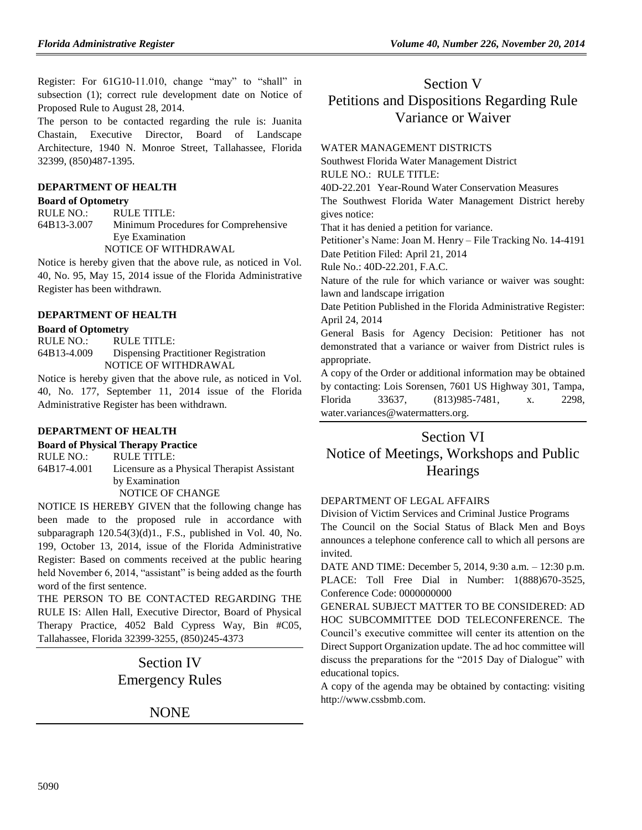Register: For 61G10-11.010, change "may" to "shall" in subsection (1); correct rule development date on Notice of Proposed Rule to August 28, 2014.

The person to be contacted regarding the rule is: Juanita Chastain, Executive Director, Board of Landscape Architecture, 1940 N. Monroe Street, Tallahassee, Florida 32399, (850)487-1395.

### **[DEPARTMENT OF HEALTH](https://www.flrules.org/gateway/department.asp?id=64)**

### **[Board of Optometry](https://www.flrules.org/gateway/organization.asp?id=304)**

RULE NO.: RULE TITLE: [64B13-3.007](https://www.flrules.org/gateway/ruleNo.asp?id=64B13-3.007) Minimum Procedures for Comprehensive Eye Examination NOTICE OF WITHDRAWAL

Notice is hereby given that the above rule, as noticed in Vol. 40, No. 95, May 15, 2014 issue of the Florida Administrative Register has been withdrawn.

### **[DEPARTMENT OF HEALTH](https://www.flrules.org/gateway/department.asp?id=64)**

### **[Board of Optometry](https://www.flrules.org/gateway/organization.asp?id=304)**

RULE NO.: RULE TITLE: [64B13-4.009](https://www.flrules.org/gateway/ruleNo.asp?id=64B13-4.009) Dispensing Practitioner Registration NOTICE OF WITHDRAWAL

Notice is hereby given that the above rule, as noticed in Vol. 40, No. 177, September 11, 2014 issue of the Florida Administrative Register has been withdrawn.

### **[DEPARTMENT OF HEALTH](file://OAGNT53/gateway/department.asp%3fid=64)**

**[Board of Physical Therapy Practice](file://OAGNT53/gateway/organization.asp%3fid=308)**

RULE NO.: RULE TITLE: 64B17-4.001 Licensure as a Physical Therapist Assistant by Examination NOTICE OF CHANGE

NOTICE IS HEREBY GIVEN that the following change has been made to the proposed rule in accordance with subparagraph 120.54(3)(d)1., F.S., published in Vol. 40, No. 199, October 13, 2014, issue of the Florida Administrative Register: Based on comments received at the public hearing held November 6, 2014, "assistant" is being added as the fourth word of the first sentence.

THE PERSON TO BE CONTACTED REGARDING THE RULE IS: Allen Hall, Executive Director, Board of Physical Therapy Practice, 4052 Bald Cypress Way, Bin #C05, Tallahassee, Florida 32399-3255, (850)245-4373

# Section IV Emergency Rules

NONE

# Section V Petitions and Dispositions Regarding Rule Variance or Waiver

### [WATER MANAGEMENT DISTRICTS](https://www.flrules.org/gateway/department.asp?id=40)

[Southwest Florida Water](https://www.flrules.org/gateway/organization.asp?id=123) Management District

RULE NO.: RULE TITLE:

[40D-22.201](https://www.flrules.org/gateway/ruleNo.asp?id=40D-22.201) Year-Round Water Conservation Measures The Southwest Florida Water Management District hereby gives notice:

That it has denied a petition for variance.

Petitioner's Name: Joan M. Henry – File Tracking No. 14-4191 Date Petition Filed: April 21, 2014

Rule No.: 40D-22.201, F.A.C.

Nature of the rule for which variance or waiver was sought: lawn and landscape irrigation

Date Petition Published in the Florida Administrative Register: April 24, 2014

General Basis for Agency Decision: Petitioner has not demonstrated that a variance or waiver from District rules is appropriate.

A copy of the Order or additional information may be obtained by contacting: Lois Sorensen, 7601 US Highway 301, Tampa, Florida 33637, (813)985-7481, x. 2298, water.variances@watermatters.org.

# Section VI Notice of Meetings, Workshops and Public **Hearings**

### [DEPARTMENT OF LEGAL AFFAIRS](https://www.flrules.org/gateway/department.asp?id=2)

[Division of Victim Services and Criminal Justice Programs](https://www.flrules.org/gateway/organization.asp?id=48) The Council on the Social Status of Black Men and Boys announces a telephone conference call to which all persons are invited.

DATE AND TIME: December 5, 2014, 9:30 a.m. – 12:30 p.m. PLACE: Toll Free Dial in Number: 1(888)670-3525, Conference Code: 0000000000

GENERAL SUBJECT MATTER TO BE CONSIDERED: AD HOC SUBCOMMITTEE DOD TELECONFERENCE. The Council's executive committee will center its attention on the Direct Support Organization update. The ad hoc committee will discuss the preparations for the "2015 Day of Dialogue" with educational topics.

A copy of the agenda may be obtained by contacting: visiting http://www.cssbmb.com.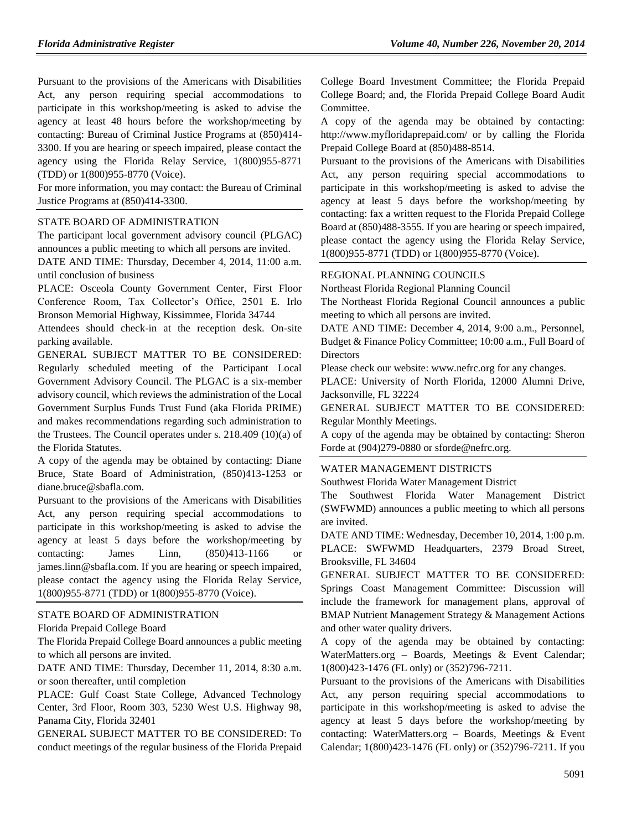Pursuant to the provisions of the Americans with Disabilities Act, any person requiring special accommodations to participate in this workshop/meeting is asked to advise the agency at least 48 hours before the workshop/meeting by contacting: Bureau of Criminal Justice Programs at (850)414- 3300. If you are hearing or speech impaired, please contact the agency using the Florida Relay Service, 1(800)955-8771 (TDD) or 1(800)955-8770 (Voice).

For more information, you may contact: the Bureau of Criminal Justice Programs at (850)414-3300.

#### [STATE BOARD OF ADMINISTRATION](https://www.flrules.org/gateway/department.asp?id=19)

The participant local government advisory council (PLGAC) announces a public meeting to which all persons are invited.

DATE AND TIME: Thursday, December 4, 2014, 11:00 a.m. until conclusion of business

PLACE: Osceola County Government Center, First Floor Conference Room, Tax Collector's Office, 2501 E. Irlo Bronson Memorial Highway, Kissimmee, Florida 34744

Attendees should check-in at the reception desk. On-site parking available.

GENERAL SUBJECT MATTER TO BE CONSIDERED: Regularly scheduled meeting of the Participant Local Government Advisory Council. The PLGAC is a six-member advisory council, which reviews the administration of the Local Government Surplus Funds Trust Fund (aka Florida PRIME) and makes recommendations regarding such administration to the Trustees. The Council operates under s. 218.409 (10)(a) of the Florida Statutes.

A copy of the agenda may be obtained by contacting: Diane Bruce, State Board of Administration, (850)413-1253 or diane.bruce@sbafla.com.

Pursuant to the provisions of the Americans with Disabilities Act, any person requiring special accommodations to participate in this workshop/meeting is asked to advise the agency at least 5 days before the workshop/meeting by contacting: James Linn, (850)413-1166 or james.linn@sbafla.com. If you are hearing or speech impaired, please contact the agency using the Florida Relay Service, 1(800)955-8771 (TDD) or 1(800)955-8770 (Voice).

#### [STATE BOARD OF ADMINISTRATION](https://www.flrules.org/gateway/department.asp?id=19)

[Florida Prepaid College Board](https://www.flrules.org/gateway/organization.asp?id=47)

The Florida Prepaid College Board announces a public meeting to which all persons are invited.

DATE AND TIME: Thursday, December 11, 2014, 8:30 a.m. or soon thereafter, until completion

PLACE: Gulf Coast State College, Advanced Technology Center, 3rd Floor, Room 303, 5230 West U.S. Highway 98, Panama City, Florida 32401

GENERAL SUBJECT MATTER TO BE CONSIDERED: To conduct meetings of the regular business of the Florida Prepaid College Board Investment Committee; the Florida Prepaid College Board; and, the Florida Prepaid College Board Audit Committee.

A copy of the agenda may be obtained by contacting: http://www.myfloridaprepaid.com/ or by calling the Florida Prepaid College Board at (850)488-8514.

Pursuant to the provisions of the Americans with Disabilities Act, any person requiring special accommodations to participate in this workshop/meeting is asked to advise the agency at least 5 days before the workshop/meeting by contacting: fax a written request to the Florida Prepaid College Board at (850)488-3555. If you are hearing or speech impaired, please contact the agency using the Florida Relay Service, 1(800)955-8771 (TDD) or 1(800)955-8770 (Voice).

#### [REGIONAL PLANNING COUNCILS](https://www.flrules.org/gateway/department.asp?id=29)

[Northeast Florida Regional Planning Council](https://www.flrules.org/gateway/organization.asp?id=60)

The Northeast Florida Regional Council announces a public meeting to which all persons are invited.

DATE AND TIME: December 4, 2014, 9:00 a.m., Personnel, Budget & Finance Policy Committee; 10:00 a.m., Full Board of **Directors** 

Please check our website: www.nefrc.org for any changes.

PLACE: University of North Florida, 12000 Alumni Drive, Jacksonville, FL 32224

GENERAL SUBJECT MATTER TO BE CONSIDERED: Regular Monthly Meetings.

A copy of the agenda may be obtained by contacting: Sheron Forde at  $(904)279-0880$  or sforde@nefrc.org.

### [WATER MANAGEMENT DISTRICTS](https://www.flrules.org/gateway/department.asp?id=40)

[Southwest Florida Water Management District](https://www.flrules.org/gateway/organization.asp?id=123)

The Southwest Florida Water Management District (SWFWMD) announces a public meeting to which all persons are invited.

DATE AND TIME: Wednesday, December 10, 2014, 1:00 p.m. PLACE: SWFWMD Headquarters, 2379 Broad Street, Brooksville, FL 34604

GENERAL SUBJECT MATTER TO BE CONSIDERED: Springs Coast Management Committee: Discussion will include the framework for management plans, approval of BMAP Nutrient Management Strategy & Management Actions and other water quality drivers.

A copy of the agenda may be obtained by contacting: WaterMatters.org – Boards, Meetings & Event Calendar; 1(800)423-1476 (FL only) or (352)796-7211.

Pursuant to the provisions of the Americans with Disabilities Act, any person requiring special accommodations to participate in this workshop/meeting is asked to advise the agency at least 5 days before the workshop/meeting by contacting: WaterMatters.org – Boards, Meetings & Event Calendar; 1(800)423-1476 (FL only) or (352)796-7211. If you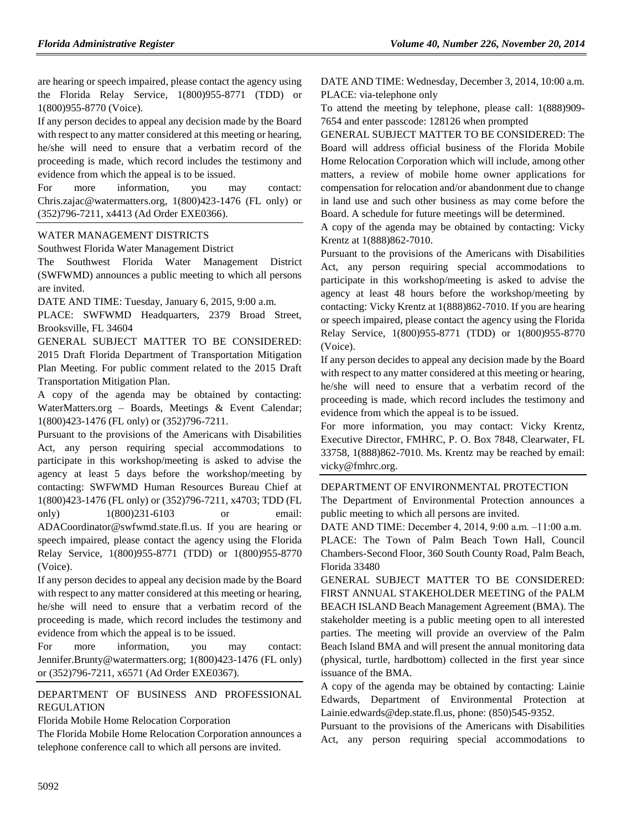are hearing or speech impaired, please contact the agency using the Florida Relay Service, 1(800)955-8771 (TDD) or 1(800)955-8770 (Voice).

If any person decides to appeal any decision made by the Board with respect to any matter considered at this meeting or hearing, he/she will need to ensure that a verbatim record of the proceeding is made, which record includes the testimony and evidence from which the appeal is to be issued.

For more information, you may contact: Chris.zajac@watermatters.org, 1(800)423-1476 (FL only) or (352)796-7211, x4413 (Ad Order EXE0366).

### [WATER MANAGEMENT DISTRICTS](https://www.flrules.org/gateway/department.asp?id=40)

[Southwest Florida Water Management District](https://www.flrules.org/gateway/organization.asp?id=123)

The Southwest Florida Water Management District (SWFWMD) announces a public meeting to which all persons are invited.

DATE AND TIME: Tuesday, January 6, 2015, 9:00 a.m.

PLACE: SWFWMD Headquarters, 2379 Broad Street, Brooksville, FL 34604

GENERAL SUBJECT MATTER TO BE CONSIDERED: 2015 Draft Florida Department of Transportation Mitigation Plan Meeting. For public comment related to the 2015 Draft Transportation Mitigation Plan.

A copy of the agenda may be obtained by contacting: WaterMatters.org – Boards, Meetings & Event Calendar; 1(800)423-1476 (FL only) or (352)796-7211.

Pursuant to the provisions of the Americans with Disabilities Act, any person requiring special accommodations to participate in this workshop/meeting is asked to advise the agency at least 5 days before the workshop/meeting by contacting: SWFWMD Human Resources Bureau Chief at 1(800)423-1476 (FL only) or (352)796-7211, x4703; TDD (FL only) 1(800)231-6103 or email: ADACoordinator@swfwmd.state.fl.us. If you are hearing or speech impaired, please contact the agency using the Florida Relay Service, 1(800)955-8771 (TDD) or 1(800)955-8770

(Voice). If any person decides to appeal any decision made by the Board with respect to any matter considered at this meeting or hearing, he/she will need to ensure that a verbatim record of the proceeding is made, which record includes the testimony and evidence from which the appeal is to be issued.

For more information, you may contact: Jennifer.Brunty@watermatters.org; 1(800)423-1476 (FL only) or (352)796-7211, x6571 (Ad Order EXE0367).

### [DEPARTMENT OF BUSINESS AND PROFESSIONAL](https://www.flrules.org/gateway/department.asp?id=61)  [REGULATION](https://www.flrules.org/gateway/department.asp?id=61)

[Florida Mobile Home Relocation Corporation](https://www.flrules.org/gateway/organization.asp?id=505)

The Florida Mobile Home Relocation Corporation announces a telephone conference call to which all persons are invited.

DATE AND TIME: Wednesday, December 3, 2014, 10:00 a.m. PLACE: via-telephone only

To attend the meeting by telephone, please call: 1(888)909- 7654 and enter passcode: 128126 when prompted

GENERAL SUBJECT MATTER TO BE CONSIDERED: The Board will address official business of the Florida Mobile Home Relocation Corporation which will include, among other matters, a review of mobile home owner applications for compensation for relocation and/or abandonment due to change in land use and such other business as may come before the Board. A schedule for future meetings will be determined.

A copy of the agenda may be obtained by contacting: Vicky Krentz at 1(888)862-7010.

Pursuant to the provisions of the Americans with Disabilities Act, any person requiring special accommodations to participate in this workshop/meeting is asked to advise the agency at least 48 hours before the workshop/meeting by contacting: Vicky Krentz at 1(888)862-7010. If you are hearing or speech impaired, please contact the agency using the Florida Relay Service, 1(800)955-8771 (TDD) or 1(800)955-8770 (Voice).

If any person decides to appeal any decision made by the Board with respect to any matter considered at this meeting or hearing, he/she will need to ensure that a verbatim record of the proceeding is made, which record includes the testimony and evidence from which the appeal is to be issued.

For more information, you may contact: Vicky Krentz, Executive Director, FMHRC, P. O. Box 7848, Clearwater, FL 33758, 1(888)862-7010. Ms. Krentz may be reached by email: vicky@fmhrc.org.

### [DEPARTMENT OF ENVIRONMENTAL PROTECTION](https://www.flrules.org/gateway/department.asp?id=62)

The Department of Environmental Protection announces a public meeting to which all persons are invited.

DATE AND TIME: December 4, 2014, 9:00 a.m. ‒11:00 a.m. PLACE: The Town of Palm Beach Town Hall, Council Chambers-Second Floor, 360 South County Road, Palm Beach, Florida 33480

GENERAL SUBJECT MATTER TO BE CONSIDERED: FIRST ANNUAL STAKEHOLDER MEETING of the PALM BEACH ISLAND Beach Management Agreement (BMA). The stakeholder meeting is a public meeting open to all interested parties. The meeting will provide an overview of the Palm Beach Island BMA and will present the annual monitoring data (physical, turtle, hardbottom) collected in the first year since issuance of the BMA.

A copy of the agenda may be obtained by contacting: Lainie Edwards, Department of Environmental Protection at Lainie.edwards@dep.state.fl.us, phone: (850)545-9352.

Pursuant to the provisions of the Americans with Disabilities Act, any person requiring special accommodations to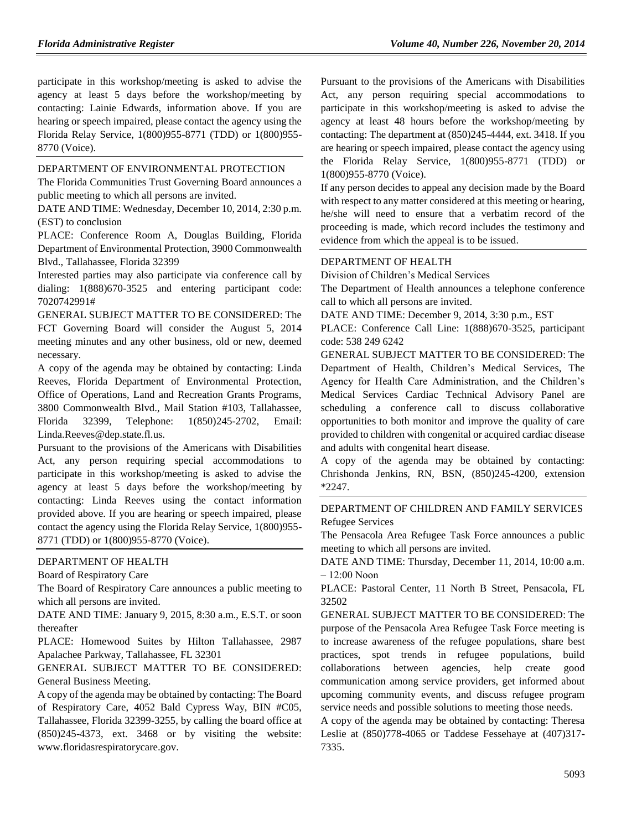participate in this workshop/meeting is asked to advise the agency at least 5 days before the workshop/meeting by contacting: Lainie Edwards, information above. If you are hearing or speech impaired, please contact the agency using the Florida Relay Service, 1(800)955-8771 (TDD) or 1(800)955- 8770 (Voice).

### [DEPARTMENT OF ENVIRONMENTAL PROTECTION](https://www.flrules.org/gateway/department.asp?id=62)

The Florida Communities Trust Governing Board announces a public meeting to which all persons are invited.

DATE AND TIME: Wednesday, December 10, 2014, 2:30 p.m. (EST) to conclusion

PLACE: Conference Room A, Douglas Building, Florida Department of Environmental Protection, 3900 Commonwealth Blvd., Tallahassee, Florida 32399

Interested parties may also participate via conference call by dialing: 1(888)670-3525 and entering participant code: 7020742991#

GENERAL SUBJECT MATTER TO BE CONSIDERED: The FCT Governing Board will consider the August 5, 2014 meeting minutes and any other business, old or new, deemed necessary.

A copy of the agenda may be obtained by contacting: Linda Reeves, Florida Department of Environmental Protection, Office of Operations, Land and Recreation Grants Programs, 3800 Commonwealth Blvd., Mail Station #103, Tallahassee, Florida 32399, Telephone: 1(850)245-2702, Email: Linda.Reeves@dep.state.fl.us.

Pursuant to the provisions of the Americans with Disabilities Act, any person requiring special accommodations to participate in this workshop/meeting is asked to advise the agency at least 5 days before the workshop/meeting by contacting: Linda Reeves using the contact information provided above. If you are hearing or speech impaired, please contact the agency using the Florida Relay Service, 1(800)955- 8771 (TDD) or 1(800)955-8770 (Voice).

#### [DEPARTMENT OF HEALTH](https://www.flrules.org/gateway/department.asp?id=64)

[Board of Respiratory Care](https://www.flrules.org/gateway/organization.asp?id=325)

The Board of Respiratory Care announces a public meeting to which all persons are invited.

DATE AND TIME: January 9, 2015, 8:30 a.m., E.S.T. or soon thereafter

PLACE: Homewood Suites by Hilton Tallahassee, 2987 Apalachee Parkway, Tallahassee, FL 32301

GENERAL SUBJECT MATTER TO BE CONSIDERED: General Business Meeting.

A copy of the agenda may be obtained by contacting: The Board of Respiratory Care, 4052 Bald Cypress Way, BIN #C05, Tallahassee, Florida 32399-3255, by calling the board office at (850)245-4373, ext. 3468 or by visiting the website: www.floridasrespiratorycare.gov.

Pursuant to the provisions of the Americans with Disabilities Act, any person requiring special accommodations to participate in this workshop/meeting is asked to advise the agency at least 48 hours before the workshop/meeting by contacting: The department at (850)245-4444, ext. 3418. If you are hearing or speech impaired, please contact the agency using the Florida Relay Service, 1(800)955-8771 (TDD) or 1(800)955-8770 (Voice).

If any person decides to appeal any decision made by the Board with respect to any matter considered at this meeting or hearing, he/she will need to ensure that a verbatim record of the proceeding is made, which record includes the testimony and evidence from which the appeal is to be issued.

#### [DEPARTMENT OF HEALTH](https://www.flrules.org/gateway/department.asp?id=64)

[Division of Children's Medical Services](https://www.flrules.org/gateway/organization.asp?id=333)

The Department of Health announces a telephone conference call to which all persons are invited.

DATE AND TIME: December 9, 2014, 3:30 p.m., EST

PLACE: Conference Call Line: 1(888)670-3525, participant code: 538 249 6242

GENERAL SUBJECT MATTER TO BE CONSIDERED: The Department of Health, Children's Medical Services, The Agency for Health Care Administration, and the Children's Medical Services Cardiac Technical Advisory Panel are scheduling a conference call to discuss collaborative opportunities to both monitor and improve the quality of care provided to children with congenital or acquired cardiac disease and adults with congenital heart disease.

A copy of the agenda may be obtained by contacting: Chrishonda Jenkins, RN, BSN, (850)245-4200, extension \*2247.

#### [DEPARTMENT OF CHILDREN AND FAMILY SERVICES](https://www.flrules.org/gateway/department.asp?id=65) [Refugee Services](https://www.flrules.org/gateway/organization.asp?id=528)

The Pensacola Area Refugee Task Force announces a public meeting to which all persons are invited.

DATE AND TIME: Thursday, December 11, 2014, 10:00 a.m.  $-12:00$  Noon

PLACE: Pastoral Center, 11 North B Street, Pensacola, FL 32502

GENERAL SUBJECT MATTER TO BE CONSIDERED: The purpose of the Pensacola Area Refugee Task Force meeting is to increase awareness of the refugee populations, share best practices, spot trends in refugee populations, build collaborations between agencies, help create good communication among service providers, get informed about upcoming community events, and discuss refugee program service needs and possible solutions to meeting those needs.

A copy of the agenda may be obtained by contacting: Theresa Leslie at (850)778-4065 or Taddese Fessehaye at (407)317- 7335.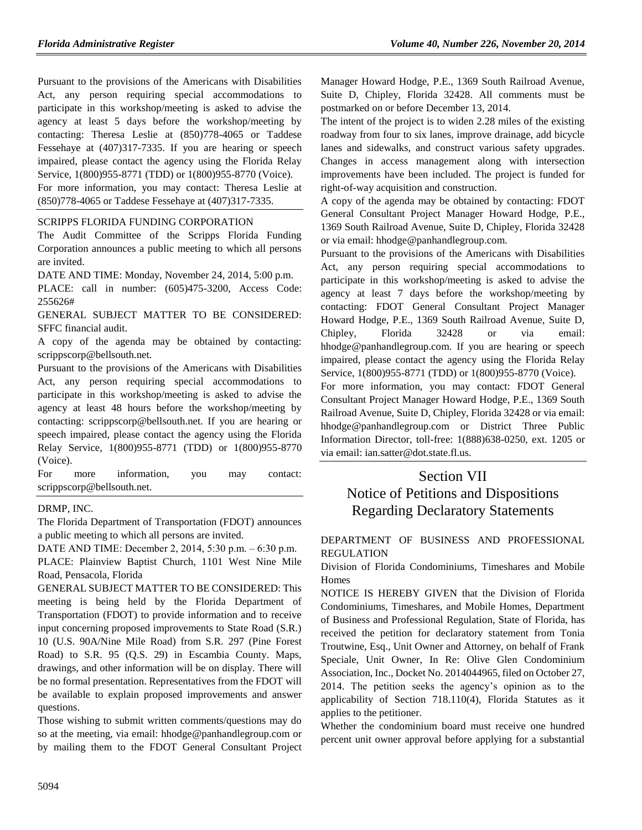Pursuant to the provisions of the Americans with Disabilities Act, any person requiring special accommodations to participate in this workshop/meeting is asked to advise the agency at least 5 days before the workshop/meeting by contacting: Theresa Leslie at (850)778-4065 or Taddese Fessehaye at (407)317-7335. If you are hearing or speech impaired, please contact the agency using the Florida Relay Service, 1(800)955-8771 (TDD) or 1(800)955-8770 (Voice). For more information, you may contact: Theresa Leslie at (850)778-4065 or Taddese Fessehaye at (407)317-7335.

### [SCRIPPS FLORIDA FUNDING CORPORATION](https://www.flrules.org/gateway/organization.asp?id=599)

The Audit Committee of the Scripps Florida Funding Corporation announces a public meeting to which all persons are invited.

DATE AND TIME: Monday, November 24, 2014, 5:00 p.m.

PLACE: call in number: (605)475-3200, Access Code: 255626#

GENERAL SUBJECT MATTER TO BE CONSIDERED: SFFC financial audit.

A copy of the agenda may be obtained by contacting: scrippscorp@bellsouth.net.

Pursuant to the provisions of the Americans with Disabilities Act, any person requiring special accommodations to participate in this workshop/meeting is asked to advise the agency at least 48 hours before the workshop/meeting by contacting: scrippscorp@bellsouth.net. If you are hearing or speech impaired, please contact the agency using the Florida Relay Service, 1(800)955-8771 (TDD) or 1(800)955-8770 (Voice).

| For | more                       | information, | you | may | contact: |
|-----|----------------------------|--------------|-----|-----|----------|
|     | scrippscorp@bellsouth.net. |              |     |     |          |

### [DRMP, INC.](https://www.flrules.org/gateway/organization.asp?id=1003)

The Florida Department of Transportation (FDOT) announces a public meeting to which all persons are invited.

DATE AND TIME: December 2, 2014, 5:30 p.m. ‒ 6:30 p.m.

PLACE: Plainview Baptist Church, 1101 West Nine Mile Road, Pensacola, Florida

GENERAL SUBJECT MATTER TO BE CONSIDERED: This meeting is being held by the Florida Department of Transportation (FDOT) to provide information and to receive input concerning proposed improvements to State Road (S.R.) 10 (U.S. 90A/Nine Mile Road) from S.R. 297 (Pine Forest Road) to S.R. 95 (Q.S. 29) in Escambia County. Maps, drawings, and other information will be on display. There will be no formal presentation. Representatives from the FDOT will be available to explain proposed improvements and answer questions.

Those wishing to submit written comments/questions may do so at the meeting, via email: hhodge@panhandlegroup.com or by mailing them to the FDOT General Consultant Project

Manager Howard Hodge, P.E., 1369 South Railroad Avenue, Suite D, Chipley, Florida 32428. All comments must be postmarked on or before December 13, 2014.

The intent of the project is to widen 2.28 miles of the existing roadway from four to six lanes, improve drainage, add bicycle lanes and sidewalks, and construct various safety upgrades. Changes in access management along with intersection improvements have been included. The project is funded for right-of-way acquisition and construction.

A copy of the agenda may be obtained by contacting: FDOT General Consultant Project Manager Howard Hodge, P.E., 1369 South Railroad Avenue, Suite D, Chipley, Florida 32428 or via email: hhodge@panhandlegroup.com.

Pursuant to the provisions of the Americans with Disabilities Act, any person requiring special accommodations to participate in this workshop/meeting is asked to advise the agency at least 7 days before the workshop/meeting by contacting: FDOT General Consultant Project Manager Howard Hodge, P.E., 1369 South Railroad Avenue, Suite D, Chipley, Florida 32428 or via email: hhodge@panhandlegroup.com. If you are hearing or speech impaired, please contact the agency using the Florida Relay Service, 1(800)955-8771 (TDD) or 1(800)955-8770 (Voice). For more information, you may contact: FDOT General Consultant Project Manager Howard Hodge, P.E., 1369 South Railroad Avenue, Suite D, Chipley, Florida 32428 or via email: hhodge@panhandlegroup.com or District Three Public Information Director, toll-free: 1(888)638-0250, ext. 1205 or via email: ian.satter@dot.state.fl.us.

# Section VII Notice of Petitions and Dispositions Regarding Declaratory Statements

### [DEPARTMENT OF BUSINESS AND PROFESSIONAL](https://www.flrules.org/gateway/department.asp?id=61)  [REGULATION](https://www.flrules.org/gateway/department.asp?id=61)

[Division of Florida Condominiums, Timeshares and Mobile](https://www.flrules.org/gateway/organization.asp?id=248)  [Homes](https://www.flrules.org/gateway/organization.asp?id=248)

NOTICE IS HEREBY GIVEN that the Division of Florida Condominiums, Timeshares, and Mobile Homes, Department of Business and Professional Regulation, State of Florida, has received the petition for declaratory statement from Tonia Troutwine, Esq., Unit Owner and Attorney, on behalf of Frank Speciale, Unit Owner, In Re: Olive Glen Condominium Association, Inc., Docket No. 2014044965, filed on October 27, 2014. The petition seeks the agency's opinion as to the applicability of Section 718.110(4), Florida Statutes as it applies to the petitioner.

Whether the condominium board must receive one hundred percent unit owner approval before applying for a substantial